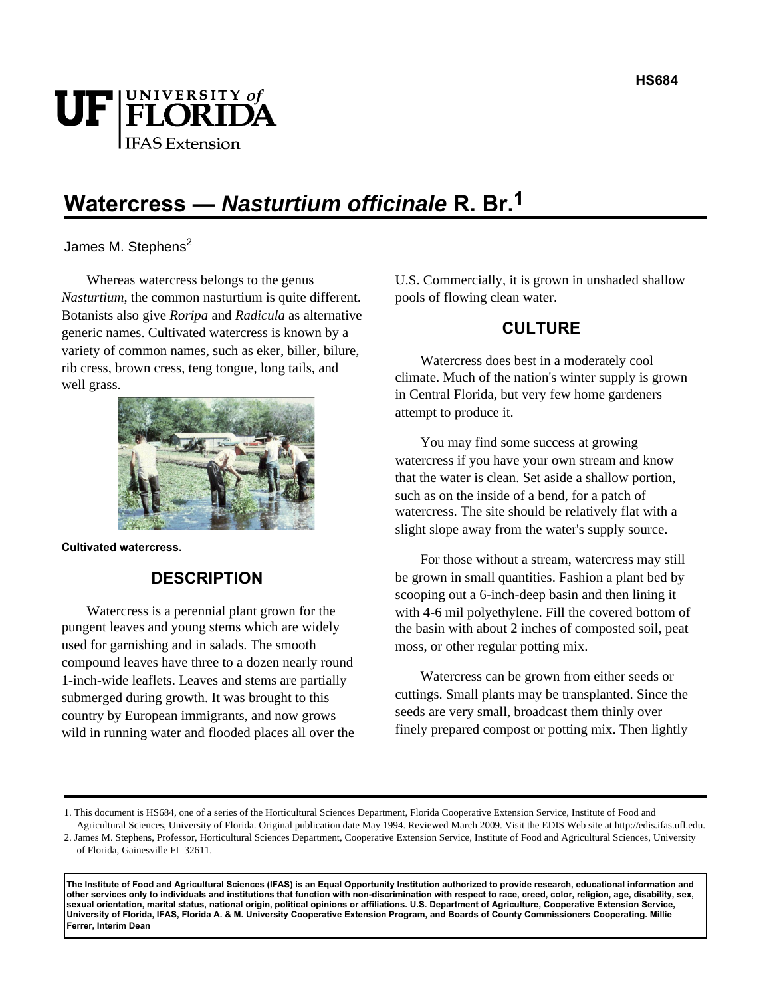# UF FLORIDA **IFAS Extension**

## **Watercress — Nasturtium officinale R. Br.1**

James M. Stephens<sup>2</sup>

Whereas watercress belongs to the genus *Nasturtium*, the common nasturtium is quite different. Botanists also give *Roripa* and *Radicula* as alternative generic names. Cultivated watercress is known by a variety of common names, such as eker, biller, bilure, rib cress, brown cress, teng tongue, long tails, and well grass.



**Cultivated watercress.** 

#### **DESCRIPTION**

Watercress is a perennial plant grown for the pungent leaves and young stems which are widely used for garnishing and in salads. The smooth compound leaves have three to a dozen nearly round 1-inch-wide leaflets. Leaves and stems are partially submerged during growth. It was brought to this country by European immigrants, and now grows wild in running water and flooded places all over the U.S. Commercially, it is grown in unshaded shallow pools of flowing clean water.

### **CULTURE**

Watercress does best in a moderately cool climate. Much of the nation's winter supply is grown in Central Florida, but very few home gardeners attempt to produce it.

You may find some success at growing watercress if you have your own stream and know that the water is clean. Set aside a shallow portion, such as on the inside of a bend, for a patch of watercress. The site should be relatively flat with a slight slope away from the water's supply source.

For those without a stream, watercress may still be grown in small quantities. Fashion a plant bed by scooping out a 6-inch-deep basin and then lining it with 4-6 mil polyethylene. Fill the covered bottom of the basin with about 2 inches of composted soil, peat moss, or other regular potting mix.

Watercress can be grown from either seeds or cuttings. Small plants may be transplanted. Since the seeds are very small, broadcast them thinly over finely prepared compost or potting mix. Then lightly

**The Institute of Food and Agricultural Sciences (IFAS) is an Equal Opportunity Institution authorized to provide research, educational information and other services only to individuals and institutions that function with non-discrimination with respect to race, creed, color, religion, age, disability, sex, sexual orientation, marital status, national origin, political opinions or affiliations. U.S. Department of Agriculture, Cooperative Extension Service, University of Florida, IFAS, Florida A. & M. University Cooperative Extension Program, and Boards of County Commissioners Cooperating. Millie Ferrer, Interim Dean** 

<sup>1.</sup> This document is HS684, one of a series of the Horticultural Sciences Department, Florida Cooperative Extension Service, Institute of Food and Agricultural Sciences, University of Florida. Original publication date May 1994. Reviewed March 2009. Visit the EDIS Web site at http://edis.ifas.ufl.edu.

<sup>2.</sup> James M. Stephens, Professor, Horticultural Sciences Department, Cooperative Extension Service, Institute of Food and Agricultural Sciences, University of Florida, Gainesville FL 32611.